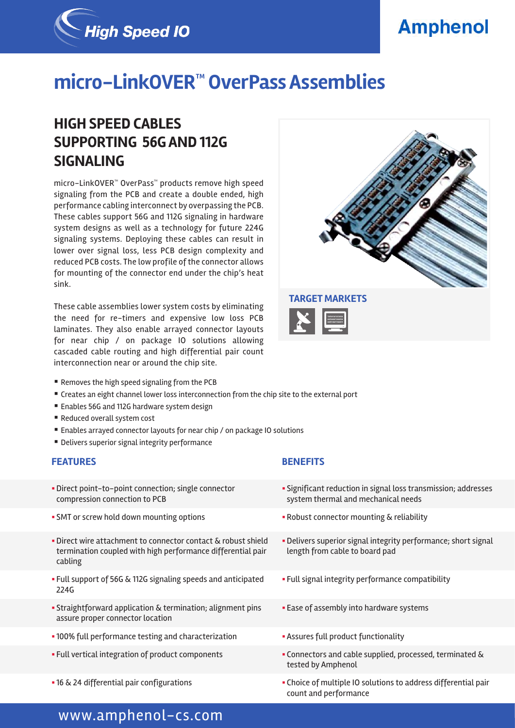# **Amphenol**



# **micro-LinkOVER™ OverPass Assemblies**

## **HIGH SPEED CABLES SUPPORTING 56G AND 112G SIGNALING**

micro-LinkOVER™ OverPass™ products remove high speed signaling from the PCB and create a double ended, high performance cabling interconnect by overpassing the PCB. These cables support 56G and 112G signaling in hardware system designs as well as a technology for future 224G signaling systems. Deploying these cables can result in lower over signal loss, less PCB design complexity and reduced PCB costs. The low profile of the connector allows for mounting of the connector end under the chip's heat sink.

These cable assemblies lower system costs by eliminating the need for re-timers and expensive low loss PCB laminates. They also enable arrayed connector layouts for near chip / on package IO solutions allowing cascaded cable routing and high differential pair count interconnection near or around the chip site.



- Removes the high speed signaling from the PCB
- § Creates an eight channel lower loss interconnection from the chip site to the external port
- Enables 56G and 112G hardware system design
- Reduced overall system cost
- Enables arrayed connector layouts for near chip / on package IO solutions
- Delivers superior signal integrity performance

- § Direct point-to-point connection; single connector compression connection to PCB
- SMT or screw hold down mounting options  **Robust connector mounting & reliability**
- **Direct wire attachment to connector contact & robust shield** termination coupled with high performance differential pair cabling
- § Full support of 56G & 112G signaling speeds and anticipated 224G
- **Straightforward application & termination; alignment pins** assure proper connector location
- 100% full performance testing and characterization  **Assures full product functionality**
- 
- 

### **FEATURES BENEFITS**

- § Significant reduction in signal loss transmission; addresses system thermal and mechanical needs
- 
- **Delivers superior signal integrity performance; short signal** length from cable to board pad
- **Full signal integrity performance compatibility**
- **Ease of assembly into hardware systems**
- 
- § Full vertical integration of product components § Connectors and cable supplied, processed, terminated & tested by Amphenol
- 16 & 24 differential pair configurations  **Choice of multiple IO solutions to address differential pair** count and performance

## www.amphenol-cs.com